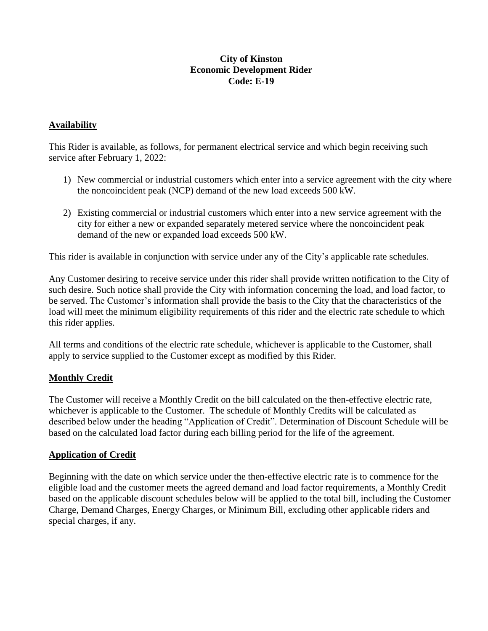## **City of Kinston Economic Development Rider Code: E-19**

# **Availability**

This Rider is available, as follows, for permanent electrical service and which begin receiving such service after February 1, 2022:

- 1) New commercial or industrial customers which enter into a service agreement with the city where the noncoincident peak (NCP) demand of the new load exceeds 500 kW.
- 2) Existing commercial or industrial customers which enter into a new service agreement with the city for either a new or expanded separately metered service where the noncoincident peak demand of the new or expanded load exceeds 500 kW.

This rider is available in conjunction with service under any of the City's applicable rate schedules.

Any Customer desiring to receive service under this rider shall provide written notification to the City of such desire. Such notice shall provide the City with information concerning the load, and load factor, to be served. The Customer's information shall provide the basis to the City that the characteristics of the load will meet the minimum eligibility requirements of this rider and the electric rate schedule to which this rider applies.

All terms and conditions of the electric rate schedule, whichever is applicable to the Customer, shall apply to service supplied to the Customer except as modified by this Rider.

# **Monthly Credit**

The Customer will receive a Monthly Credit on the bill calculated on the then-effective electric rate, whichever is applicable to the Customer. The schedule of Monthly Credits will be calculated as described below under the heading "Application of Credit". Determination of Discount Schedule will be based on the calculated load factor during each billing period for the life of the agreement.

#### **Application of Credit**

Beginning with the date on which service under the then-effective electric rate is to commence for the eligible load and the customer meets the agreed demand and load factor requirements, a Monthly Credit based on the applicable discount schedules below will be applied to the total bill, including the Customer Charge, Demand Charges, Energy Charges, or Minimum Bill, excluding other applicable riders and special charges, if any.